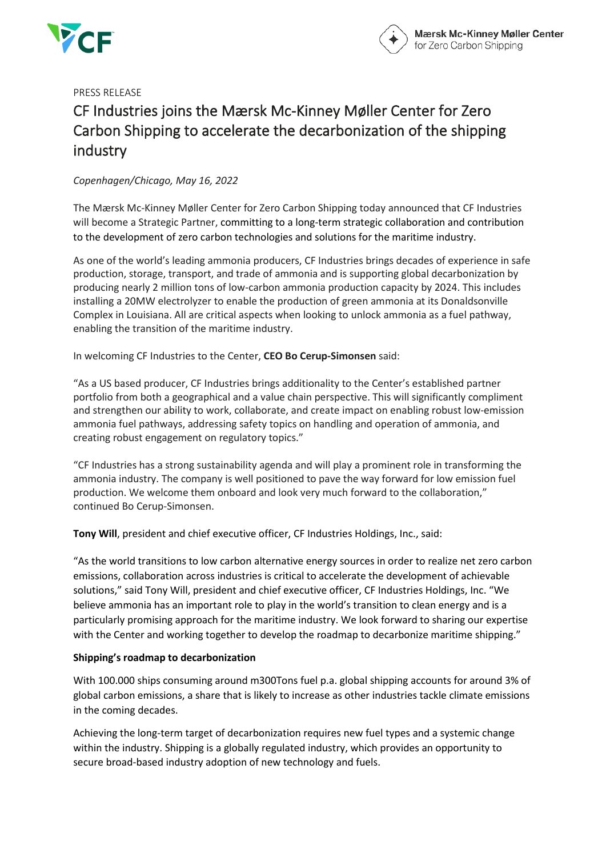



PRESS RELEASE

# CF Industries joins the Mærsk Mc-Kinney Møller Center for Zero Carbon Shipping to accelerate the decarbonization of the shipping industry

## *Copenhagen/Chicago, May 16, 2022*

The Mærsk Mc-Kinney Møller Center for Zero Carbon Shipping today announced that CF Industries will become a Strategic Partner, committing to a long-term strategic collaboration and contribution to the development of zero carbon technologies and solutions for the maritime industry.

As one of the world's leading ammonia producers, CF Industries brings decades of experience in safe production, storage, transport, and trade of ammonia and is supporting global decarbonization by producing nearly 2 million tons of low-carbon ammonia production capacity by 2024. This includes installing a 20MW electrolyzer to enable the production of green ammonia at its Donaldsonville Complex in Louisiana. All are critical aspects when looking to unlock ammonia as a fuel pathway, enabling the transition of the maritime industry.

In welcoming CF Industries to the Center, **CEO Bo Cerup-Simonsen** said:

"As a US based producer, CF Industries brings additionality to the Center's established partner portfolio from both a geographical and a value chain perspective. This will significantly compliment and strengthen our ability to work, collaborate, and create impact on enabling robust low-emission ammonia fuel pathways, addressing safety topics on handling and operation of ammonia, and creating robust engagement on regulatory topics."

"CF Industries has a strong sustainability agenda and will play a prominent role in transforming the ammonia industry. The company is well positioned to pave the way forward for low emission fuel production. We welcome them onboard and look very much forward to the collaboration," continued Bo Cerup-Simonsen.

**Tony Will**, president and chief executive officer, CF Industries Holdings, Inc., said:

"As the world transitions to low carbon alternative energy sources in order to realize net zero carbon emissions, collaboration across industries is critical to accelerate the development of achievable solutions," said Tony Will, president and chief executive officer, CF Industries Holdings, Inc. "We believe ammonia has an important role to play in the world's transition to clean energy and is a particularly promising approach for the maritime industry. We look forward to sharing our expertise with the Center and working together to develop the roadmap to decarbonize maritime shipping."

## **Shipping's roadmap to decarbonization**

With 100.000 ships consuming around m300Tons fuel p.a. global shipping accounts for around 3% of global carbon emissions, a share that is likely to increase as other industries tackle climate emissions in the coming decades.

Achieving the long-term target of decarbonization requires new fuel types and a systemic change within the industry. Shipping is a globally regulated industry, which provides an opportunity to secure broad-based industry adoption of new technology and fuels.